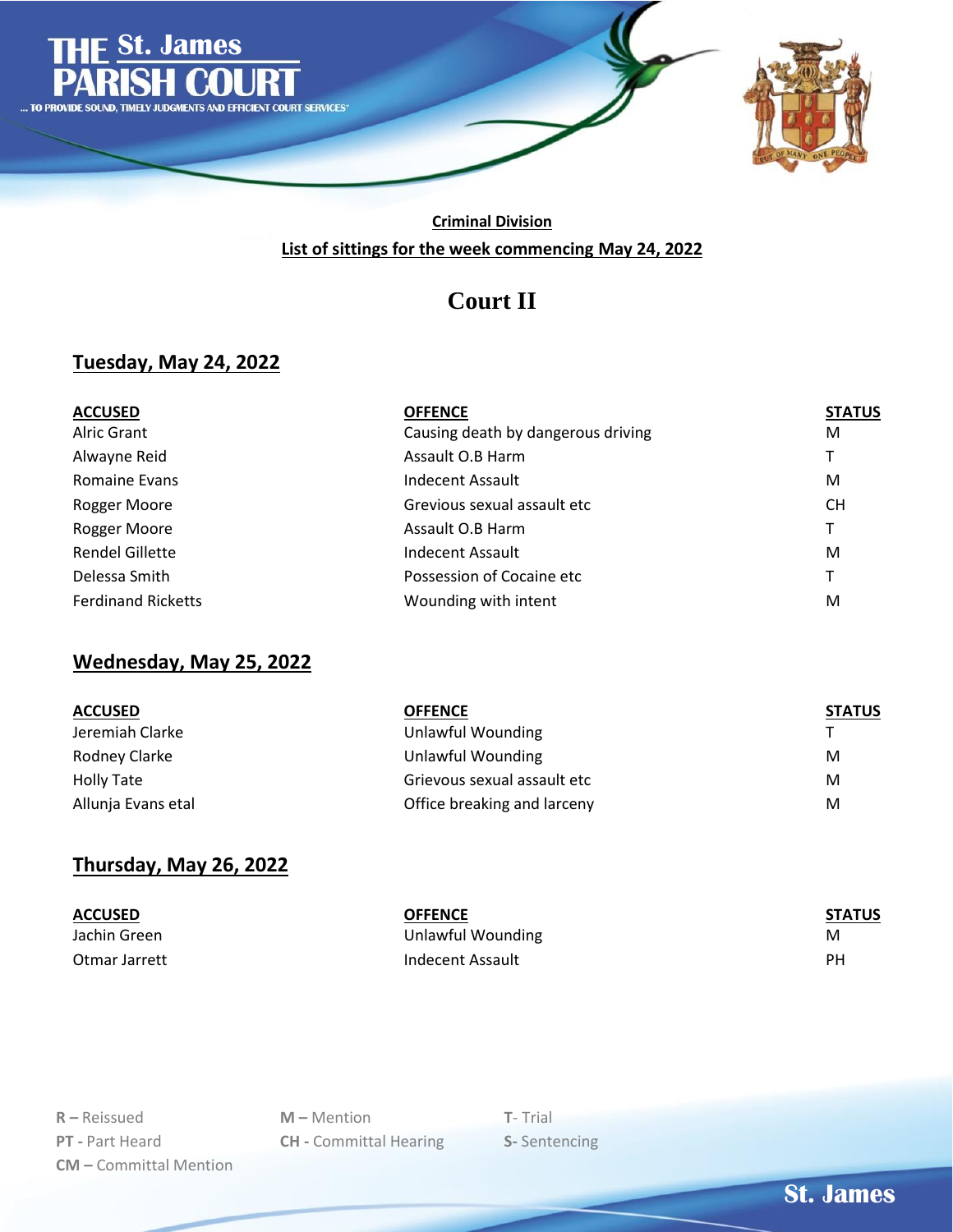

#### **Criminal Division List of sittings for the week commencing May 24, 2022**

# **Court II**

#### **Tuesday, May 24, 2022**

| <b>ACCUSED</b>            | <b>OFFENCE</b>                     | <b>STATUS</b> |
|---------------------------|------------------------------------|---------------|
| Alric Grant               | Causing death by dangerous driving | М             |
| Alwayne Reid              | Assault O.B Harm                   | т             |
| Romaine Evans             | Indecent Assault                   | м             |
| Rogger Moore              | Grevious sexual assault etc        | CH.           |
| Rogger Moore              | Assault O.B Harm                   | т             |
| Rendel Gillette           | Indecent Assault                   | м             |
| Delessa Smith             | Possession of Cocaine etc          | т             |
| <b>Ferdinand Ricketts</b> | Wounding with intent               | M             |

# **Wednesday, May 25, 2022**

| <b>ACCUSED</b>     | OFFENCE                     | <b>STATUS</b> |
|--------------------|-----------------------------|---------------|
| Jeremiah Clarke    | Unlawful Wounding           |               |
| Rodney Clarke      | Unlawful Wounding           | M             |
| Holly Tate         | Grievous sexual assault etc | M             |
| Allunja Evans etal | Office breaking and larceny | M             |

#### **Thursday, May 26, 2022**

| <b>ACCUSED</b> | <b>OFFENCE</b>    | <b>STATUS</b> |
|----------------|-------------------|---------------|
| Jachin Green   | Unlawful Wounding | M             |
| Otmar Jarrett  | Indecent Assault  | PН            |

| $R -$ Reissued                |
|-------------------------------|
| <b>PT</b> - Part Heard        |
| <b>CM</b> – Committal Mention |

**M** – Mention **T**- Trial **CH** - Committal Hearing **S-** Sentencing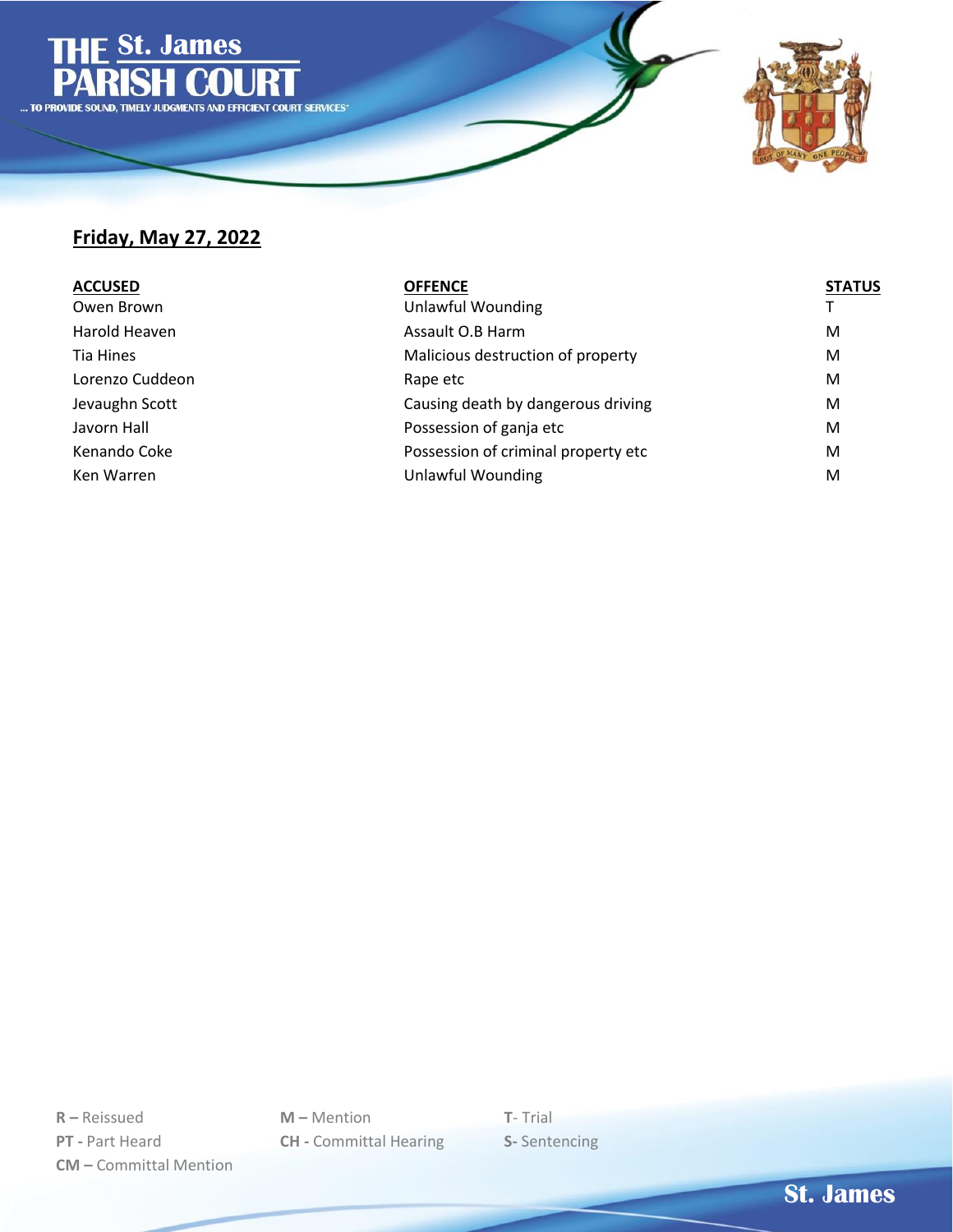

### **Friday, May 27, 2022**

| <b>ACCUSED</b>  | <b>OFFENCE</b>                      | <b>STATUS</b> |
|-----------------|-------------------------------------|---------------|
| Owen Brown      | Unlawful Wounding                   |               |
| Harold Heaven   | Assault O.B Harm                    | M             |
| Tia Hines       | Malicious destruction of property   | M             |
| Lorenzo Cuddeon | Rape etc                            | M             |
| Jevaughn Scott  | Causing death by dangerous driving  | M             |
| Javorn Hall     | Possession of ganja etc             | M             |
| Kenando Coke    | Possession of criminal property etc | M             |
| Ken Warren      | Unlawful Wounding                   | M             |

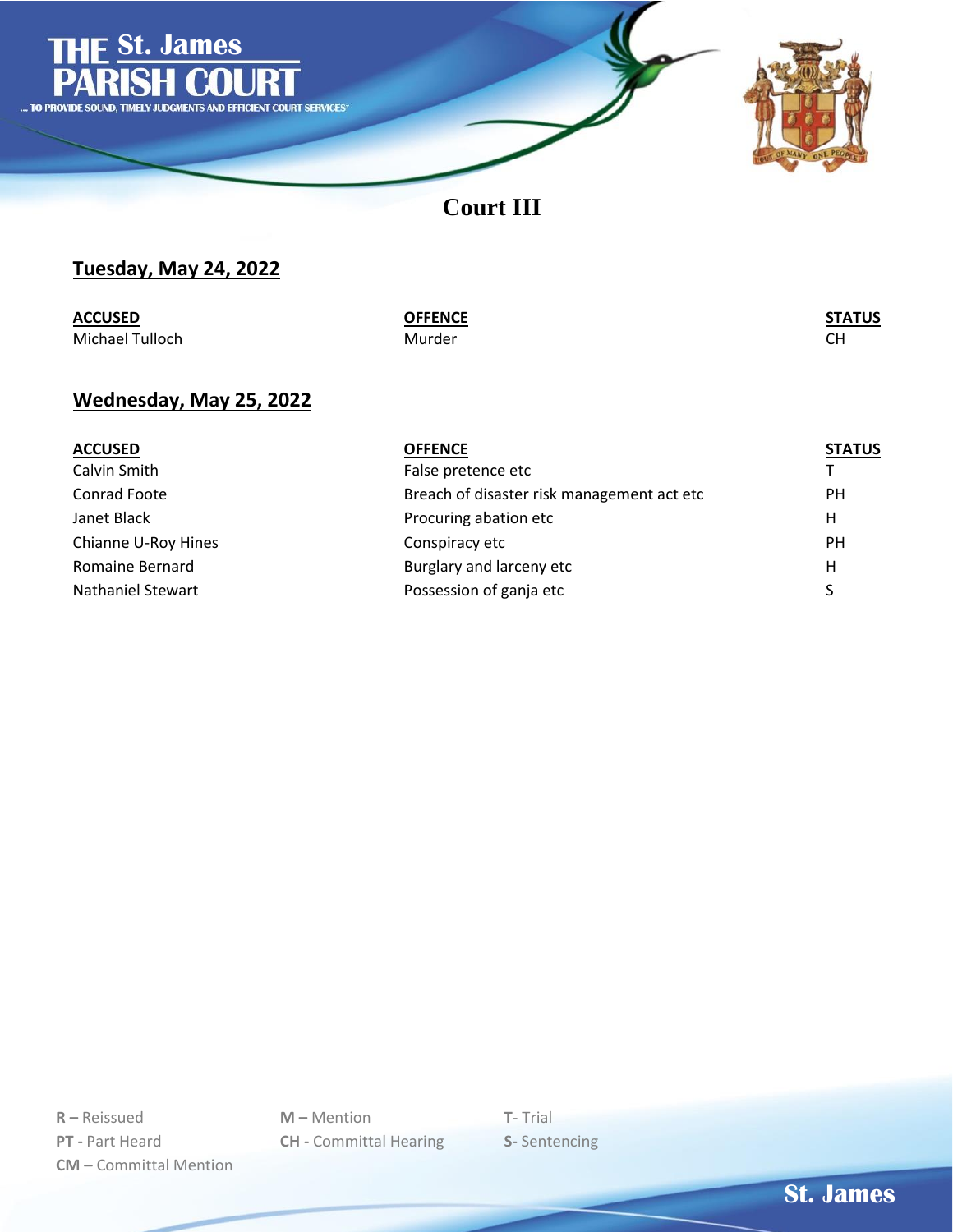

**Court III**

### **Tuesday, May 24, 2022**

| <b>ACCUSED</b>  | <b>OFFENCE</b> | <b>STATUS</b><br><u> 1980 - Andrea Stadt Britain, amerikansk politik (</u> |
|-----------------|----------------|----------------------------------------------------------------------------|
| Michael Tulloch | Murder         |                                                                            |

#### **Wednesday, May 25, 2022**

| <b>ACCUSED</b>           | <b>OFFENCE</b>                             | <b>STATUS</b> |
|--------------------------|--------------------------------------------|---------------|
| Calvin Smith             | False pretence etc                         |               |
| Conrad Foote             | Breach of disaster risk management act etc | PH.           |
| Janet Black              | Procuring abation etc                      | Н             |
| Chianne U-Roy Hines      | Conspiracy etc                             | <b>PH</b>     |
| Romaine Bernard          | Burglary and larceny etc                   | Н             |
| <b>Nathaniel Stewart</b> | Possession of ganja etc                    |               |

**R –** Reissued **M –** Mention **T**- Trial **PT -** Part Heard **CH -** Committal Hearing **S-** Sentencing **CM –** Committal Mention